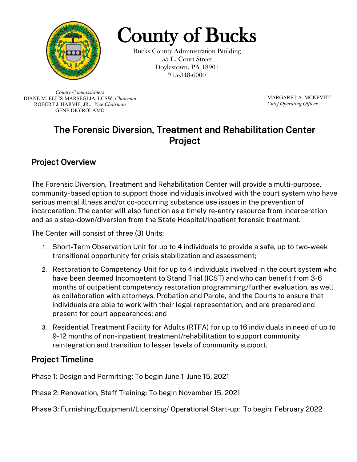

County of Bucks County Administration Building

55 E. Court Street Doylestown, PA 18901 215-348-6000

*County Commissioners* DIANE M. ELLIS-MARSEGLIA, LCSW, *Chairman* ROBERT J. HARVIE, JR.., *Vice Chairman* GENE DIGIROLAMO

MARGARET A. MCKEVITT *Chief Operating Officer*

## The Forensic Diversion, Treatment and Rehabilitation Center Project

## Project Overview

The Forensic Diversion, Treatment and Rehabilitation Center will provide a multi-purpose, community-based option to support those individuals involved with the court system who have serious mental illness and/or co-occurring substance use issues in the prevention of incarceration. The center will also function as a timely re-entry resource from incarceration and as a step-down/diversion from the State Hospital/inpatient forensic treatment.

The Center will consist of three (3) Units:

- 1. Short-Term Observation Unit for up to 4 individuals to provide a safe, up to two-week transitional opportunity for crisis stabilization and assessment;
- 2. Restoration to Competency Unit for up to 4 individuals involved in the court system who have been deemed Incompetent to Stand Trial (ICST) and who can benefit from 3-6 months of outpatient competency restoration programming/further evaluation, as well as collaboration with attorneys, Probation and Parole, and the Courts to ensure that individuals are able to work with their legal representation, and are prepared and present for court appearances; and
- 3. Residential Treatment Facility for Adults (RTFA) for up to 16 individuals in need of up to 9-12 months of non-inpatient treatment/rehabilitation to support community reintegration and transition to lesser levels of community support.

## Project Timeline

Phase 1: Design and Permitting: To begin June 1-June 15, 2021

Phase 2: Renovation, Staff Training: To begin November 15, 2021

Phase 3: Furnishing/Equipment/Licensing/ Operational Start-up: To begin: February 2022